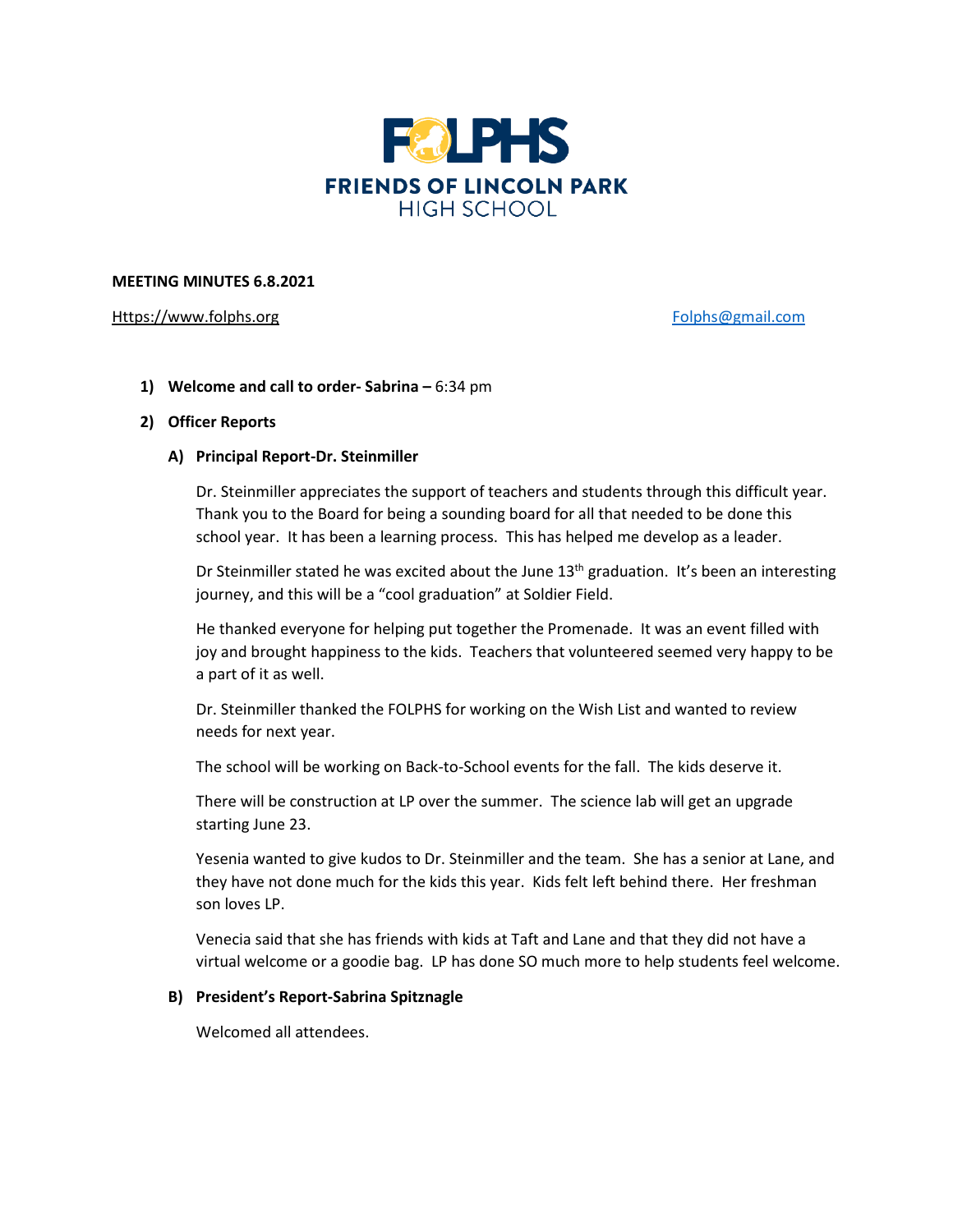

## **MEETING MINUTES 6.8.2021**

[Https://www.folphs.org](https://www.folphs.org/) [Folphs@gmail.com](mailto:Folphs@gmail.com)

**1) Welcome and call to order- Sabrina –** 6:34 pm

## **2) Officer Reports**

## **A) Principal Report-Dr. Steinmiller**

Dr. Steinmiller appreciates the support of teachers and students through this difficult year. Thank you to the Board for being a sounding board for all that needed to be done this school year. It has been a learning process. This has helped me develop as a leader.

Dr Steinmiller stated he was excited about the June  $13<sup>th</sup>$  graduation. It's been an interesting journey, and this will be a "cool graduation" at Soldier Field.

He thanked everyone for helping put together the Promenade. It was an event filled with joy and brought happiness to the kids. Teachers that volunteered seemed very happy to be a part of it as well.

Dr. Steinmiller thanked the FOLPHS for working on the Wish List and wanted to review needs for next year.

The school will be working on Back-to-School events for the fall. The kids deserve it.

There will be construction at LP over the summer. The science lab will get an upgrade starting June 23.

Yesenia wanted to give kudos to Dr. Steinmiller and the team. She has a senior at Lane, and they have not done much for the kids this year. Kids felt left behind there. Her freshman son loves LP.

Venecia said that she has friends with kids at Taft and Lane and that they did not have a virtual welcome or a goodie bag. LP has done SO much more to help students feel welcome.

# **B) President's Report-Sabrina Spitznagle**

Welcomed all attendees.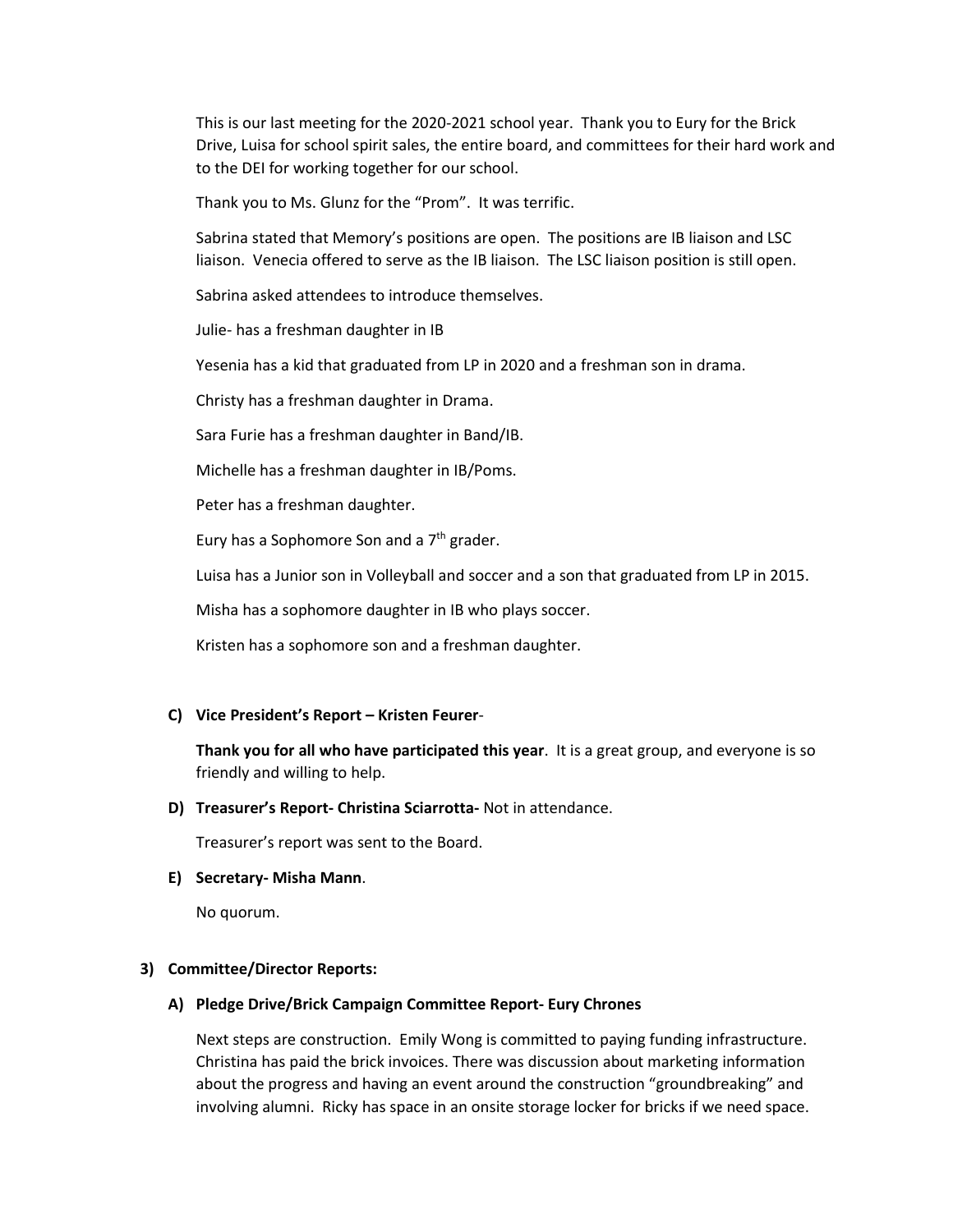This is our last meeting for the 2020-2021 school year. Thank you to Eury for the Brick Drive, Luisa for school spirit sales, the entire board, and committees for their hard work and to the DEI for working together for our school.

Thank you to Ms. Glunz for the "Prom". It was terrific.

Sabrina stated that Memory's positions are open. The positions are IB liaison and LSC liaison. Venecia offered to serve as the IB liaison. The LSC liaison position is still open.

Sabrina asked attendees to introduce themselves.

Julie- has a freshman daughter in IB

Yesenia has a kid that graduated from LP in 2020 and a freshman son in drama.

Christy has a freshman daughter in Drama.

Sara Furie has a freshman daughter in Band/IB.

Michelle has a freshman daughter in IB/Poms.

Peter has a freshman daughter.

Eury has a Sophomore Son and a 7<sup>th</sup> grader.

Luisa has a Junior son in Volleyball and soccer and a son that graduated from LP in 2015.

Misha has a sophomore daughter in IB who plays soccer.

Kristen has a sophomore son and a freshman daughter.

#### **C) Vice President's Report – Kristen Feurer**-

**Thank you for all who have participated this year**. It is a great group, and everyone is so friendly and willing to help.

#### **D) Treasurer's Report- Christina Sciarrotta-** Not in attendance.

Treasurer's report was sent to the Board.

#### **E) Secretary- Misha Mann**.

No quorum.

#### **3) Committee/Director Reports:**

#### **A) Pledge Drive/Brick Campaign Committee Report- Eury Chrones**

Next steps are construction. Emily Wong is committed to paying funding infrastructure. Christina has paid the brick invoices. There was discussion about marketing information about the progress and having an event around the construction "groundbreaking" and involving alumni. Ricky has space in an onsite storage locker for bricks if we need space.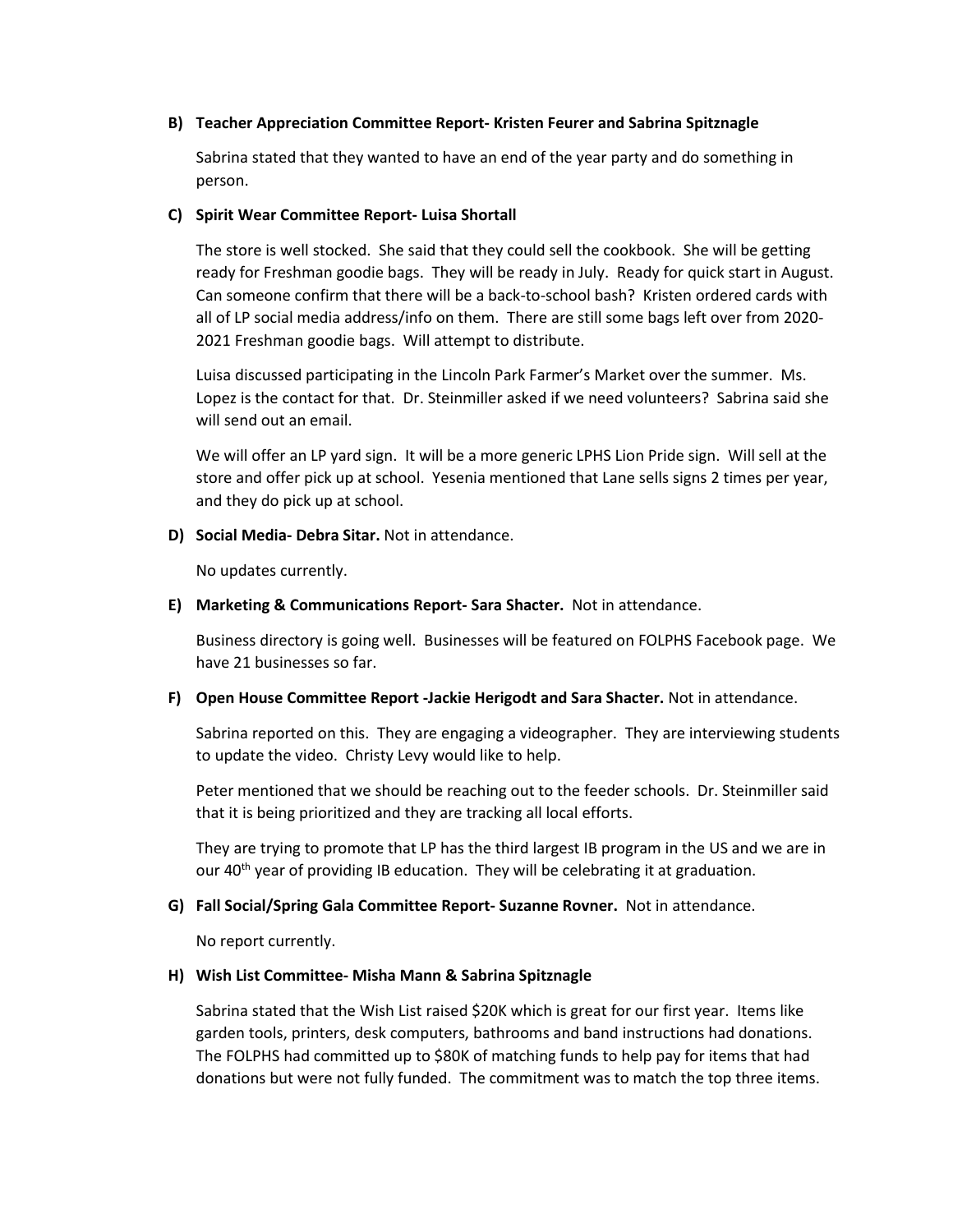#### **B) Teacher Appreciation Committee Report- Kristen Feurer and Sabrina Spitznagle**

Sabrina stated that they wanted to have an end of the year party and do something in person.

## **C) Spirit Wear Committee Report- Luisa Shortall**

The store is well stocked. She said that they could sell the cookbook. She will be getting ready for Freshman goodie bags. They will be ready in July. Ready for quick start in August. Can someone confirm that there will be a back-to-school bash? Kristen ordered cards with all of LP social media address/info on them. There are still some bags left over from 2020- 2021 Freshman goodie bags. Will attempt to distribute.

Luisa discussed participating in the Lincoln Park Farmer's Market over the summer. Ms. Lopez is the contact for that. Dr. Steinmiller asked if we need volunteers? Sabrina said she will send out an email.

We will offer an LP yard sign. It will be a more generic LPHS Lion Pride sign. Will sell at the store and offer pick up at school. Yesenia mentioned that Lane sells signs 2 times per year, and they do pick up at school.

## **D) Social Media- Debra Sitar.** Not in attendance.

No updates currently.

## **E) Marketing & Communications Report- Sara Shacter.** Not in attendance.

Business directory is going well. Businesses will be featured on FOLPHS Facebook page. We have 21 businesses so far.

# **F) Open House Committee Report -Jackie Herigodt and Sara Shacter.** Not in attendance.

Sabrina reported on this. They are engaging a videographer. They are interviewing students to update the video. Christy Levy would like to help.

Peter mentioned that we should be reaching out to the feeder schools. Dr. Steinmiller said that it is being prioritized and they are tracking all local efforts.

They are trying to promote that LP has the third largest IB program in the US and we are in our 40<sup>th</sup> year of providing IB education. They will be celebrating it at graduation.

# **G) Fall Social/Spring Gala Committee Report- Suzanne Rovner.** Not in attendance.

No report currently.

# **H) Wish List Committee- Misha Mann & Sabrina Spitznagle**

Sabrina stated that the Wish List raised \$20K which is great for our first year. Items like garden tools, printers, desk computers, bathrooms and band instructions had donations. The FOLPHS had committed up to \$80K of matching funds to help pay for items that had donations but were not fully funded. The commitment was to match the top three items.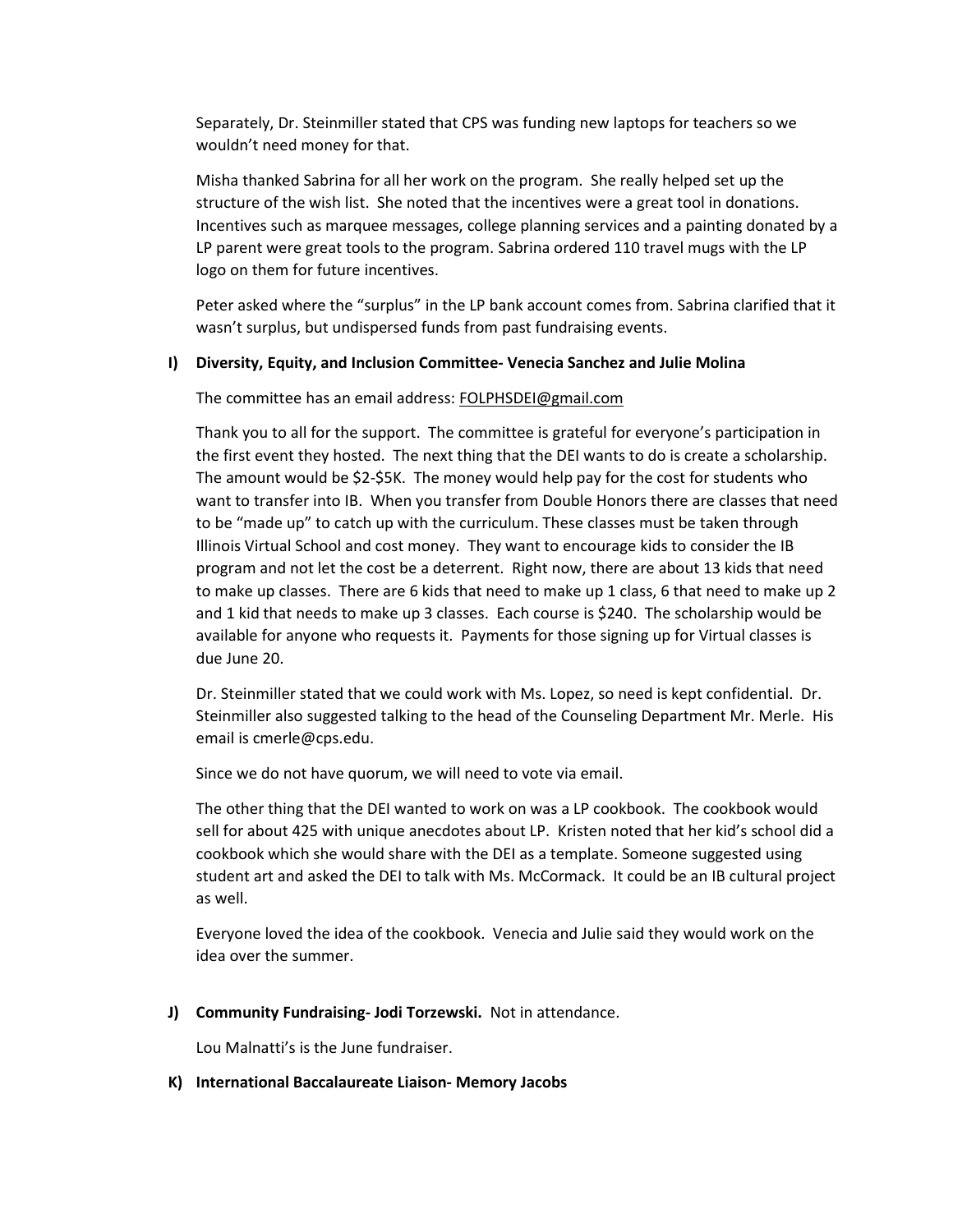Separately, Dr. Steinmiller stated that CPS was funding new laptops for teachers so we wouldn't need money for that.

Misha thanked Sabrina for all her work on the program. She really helped set up the structure of the wish list. She noted that the incentives were a great tool in donations. Incentives such as marquee messages, college planning services and a painting donated by a LP parent were great tools to the program. Sabrina ordered 110 travel mugs with the LP logo on them for future incentives.

Peter asked where the "surplus" in the LP bank account comes from. Sabrina clarified that it wasn't surplus, but undispersed funds from past fundraising events.

#### **I) Diversity, Equity, and Inclusion Committee- Venecia Sanchez and Julie Molina**

#### The committee has an email address: [FOLPHSDEI@gmail.com](mailto:FOLPHSDEI@gmail.com)

Thank you to all for the support. The committee is grateful for everyone's participation in the first event they hosted. The next thing that the DEI wants to do is create a scholarship. The amount would be \$2-\$5K. The money would help pay for the cost for students who want to transfer into IB. When you transfer from Double Honors there are classes that need to be "made up" to catch up with the curriculum. These classes must be taken through Illinois Virtual School and cost money. They want to encourage kids to consider the IB program and not let the cost be a deterrent. Right now, there are about 13 kids that need to make up classes. There are 6 kids that need to make up 1 class, 6 that need to make up 2 and 1 kid that needs to make up 3 classes. Each course is \$240. The scholarship would be available for anyone who requests it. Payments for those signing up for Virtual classes is due June 20.

Dr. Steinmiller stated that we could work with Ms. Lopez, so need is kept confidential. Dr. Steinmiller also suggested talking to the head of the Counseling Department Mr. Merle. His email is cmerle@cps.edu.

Since we do not have quorum, we will need to vote via email.

The other thing that the DEI wanted to work on was a LP cookbook. The cookbook would sell for about 425 with unique anecdotes about LP. Kristen noted that her kid's school did a cookbook which she would share with the DEI as a template. Someone suggested using student art and asked the DEI to talk with Ms. McCormack. It could be an IB cultural project as well.

Everyone loved the idea of the cookbook. Venecia and Julie said they would work on the idea over the summer.

**J) Community Fundraising- Jodi Torzewski.** Not in attendance.

Lou Malnatti's is the June fundraiser.

#### **K) International Baccalaureate Liaison- Memory Jacobs**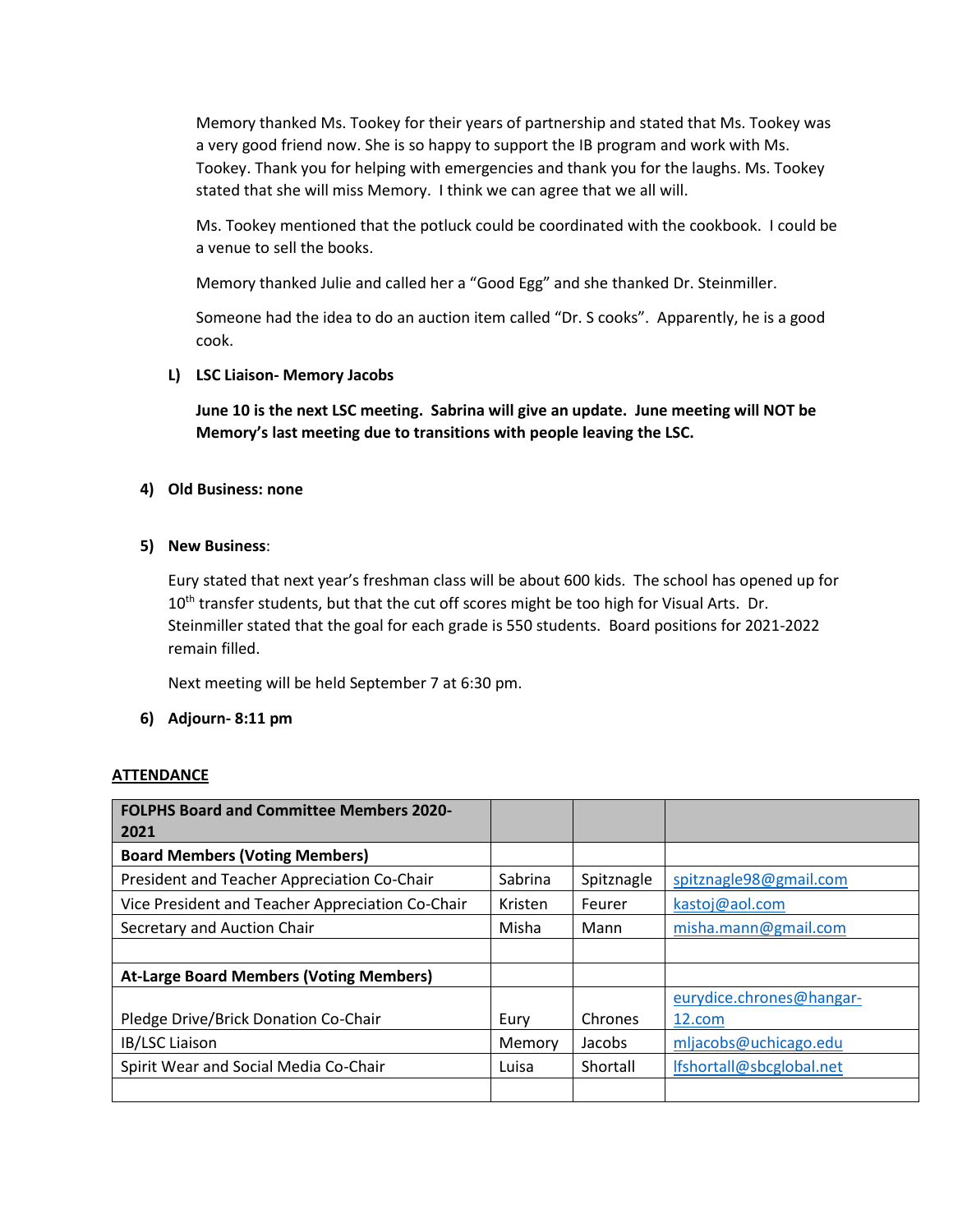Memory thanked Ms. Tookey for their years of partnership and stated that Ms. Tookey was a very good friend now. She is so happy to support the IB program and work with Ms. Tookey. Thank you for helping with emergencies and thank you for the laughs. Ms. Tookey stated that she will miss Memory. I think we can agree that we all will.

Ms. Tookey mentioned that the potluck could be coordinated with the cookbook. I could be a venue to sell the books.

Memory thanked Julie and called her a "Good Egg" and she thanked Dr. Steinmiller.

Someone had the idea to do an auction item called "Dr. S cooks". Apparently, he is a good cook.

# **L) LSC Liaison- Memory Jacobs**

**June 10 is the next LSC meeting. Sabrina will give an update. June meeting will NOT be Memory's last meeting due to transitions with people leaving the LSC.** 

# **4) Old Business: none**

# **5) New Business**:

Eury stated that next year's freshman class will be about 600 kids. The school has opened up for  $10<sup>th</sup>$  transfer students, but that the cut off scores might be too high for Visual Arts. Dr. Steinmiller stated that the goal for each grade is 550 students. Board positions for 2021-2022 remain filled.

Next meeting will be held September 7 at 6:30 pm.

# **6) Adjourn- 8:11 pm**

# **ATTENDANCE**

| <b>FOLPHS Board and Committee Members 2020-</b><br>2021 |         |            |                          |
|---------------------------------------------------------|---------|------------|--------------------------|
|                                                         |         |            |                          |
| <b>Board Members (Voting Members)</b>                   |         |            |                          |
| President and Teacher Appreciation Co-Chair             | Sabrina | Spitznagle | spitznagle98@gmail.com   |
| Vice President and Teacher Appreciation Co-Chair        | Kristen | Feurer     | kastoj@aol.com           |
| Secretary and Auction Chair                             | Misha   | Mann       | misha.mann@gmail.com     |
|                                                         |         |            |                          |
| <b>At-Large Board Members (Voting Members)</b>          |         |            |                          |
|                                                         |         |            | eurydice.chrones@hangar- |
| Pledge Drive/Brick Donation Co-Chair                    | Eury    | Chrones    | 12.com                   |
| IB/LSC Liaison                                          | Memory  | Jacobs     | mljacobs@uchicago.edu    |
| Spirit Wear and Social Media Co-Chair                   | Luisa   | Shortall   | lfshortall@sbcglobal.net |
|                                                         |         |            |                          |